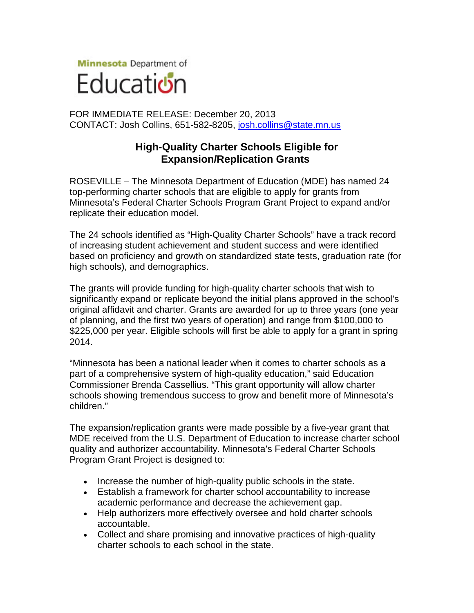**Minnesota** Department of



FOR IMMEDIATE RELEASE: December 20, 2013 CONTACT: Josh Collins, 651-582-8205, [josh.collins@state.mn.us](mailto:josh.collins@state.mn.us)

## **High-Quality Charter Schools Eligible for Expansion/Replication Grants**

ROSEVILLE – The Minnesota Department of Education (MDE) has named 24 top-performing charter schools that are eligible to apply for grants from Minnesota's Federal Charter Schools Program Grant Project to expand and/or replicate their education model.

The 24 schools identified as "High-Quality Charter Schools" have a track record of increasing student achievement and student success and were identified based on proficiency and growth on standardized state tests, graduation rate (for high schools), and demographics.

The grants will provide funding for high-quality charter schools that wish to significantly expand or replicate beyond the initial plans approved in the school's original affidavit and charter. Grants are awarded for up to three years (one year of planning, and the first two years of operation) and range from \$100,000 to \$225,000 per year. Eligible schools will first be able to apply for a grant in spring 2014.

"Minnesota has been a national leader when it comes to charter schools as a part of a comprehensive system of high-quality education," said Education Commissioner Brenda Cassellius. "This grant opportunity will allow charter schools showing tremendous success to grow and benefit more of Minnesota's children."

The expansion/replication grants were made possible by a five-year grant that MDE received from the U.S. Department of Education to increase charter school quality and authorizer accountability. Minnesota's Federal Charter Schools Program Grant Project is designed to:

- Increase the number of high-quality public schools in the state.
- Establish a framework for charter school accountability to increase academic performance and decrease the achievement gap.
- Help authorizers more effectively oversee and hold charter schools accountable.
- Collect and share promising and innovative practices of high-quality charter schools to each school in the state.